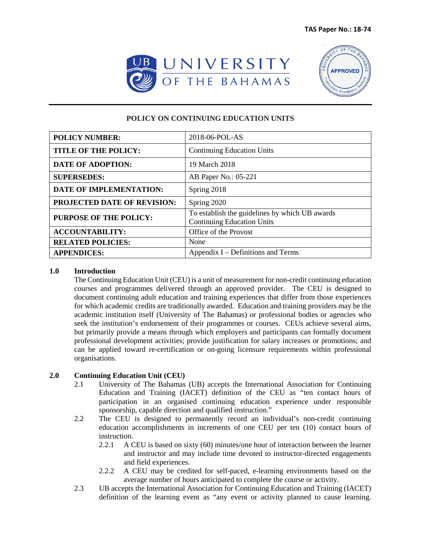



# **POLICY ON CONTINUING EDUCATION UNITS**

| <b>POLICY NUMBER:</b>              | 2018-06-POL-AS                                                                      |
|------------------------------------|-------------------------------------------------------------------------------------|
| <b>TITLE OF THE POLICY:</b>        | <b>Continuing Education Units</b>                                                   |
| <b>DATE OF ADOPTION:</b>           | 19 March 2018                                                                       |
| <b>SUPERSEDES:</b>                 | AB Paper No.: 05-221                                                                |
| <b>DATE OF IMPLEMENTATION:</b>     | Spring 2018                                                                         |
| <b>PROJECTED DATE OF REVISION:</b> | Spring 2020                                                                         |
| PURPOSE OF THE POLICY:             | To establish the guidelines by which UB awards<br><b>Continuing Education Units</b> |
| <b>ACCOUNTABILITY:</b>             | Office of the Provost                                                               |
| <b>RELATED POLICIES:</b>           | None                                                                                |
| <b>APPENDICES:</b>                 | Appendix I – Definitions and Terms                                                  |

#### **1.0 Introduction**

The Continuing Education Unit (CEU) is a unit of measurement for non-credit continuing education courses and programmes delivered through an approved provider. The CEU is designed to document continuing adult education and training experiences that differ from those experiences for which academic credits are traditionally awarded. Education and training providers may be the academic institution itself (University of The Bahamas) or professional bodies or agencies who seek the institution's endorsement of their programmes or courses. CEUs achieve several aims, but primarily provide a means through which employers and participants can formally document professional development activities; provide justification for salary increases or promotions; and can be applied toward re-certification or on-going licensure requirements within professional organisations.

#### **2.0 Continuing Education Unit (CEU)**

- 2.1 University of The Bahamas (UB) accepts the International Association for Continuing Education and Training (IACET) definition of the CEU as "ten contact hours of participation in an organised continuing education experience under responsible sponsorship, capable direction and qualified instruction."
- 2.2 The CEU is designed to permanently record an individual's non-credit continuing education accomplishments in increments of one CEU per ten (10) contact hours of instruction.
	- 2.2.1 A CEU is based on sixty (60) minutes/one hour of interaction between the learner and instructor and may include time devoted to instructor-directed engagements and field experiences.
	- 2.2.2 A CEU may be credited for self-paced, e-learning environments based on the average number of hours anticipated to complete the course or activity.
- 2.3 UB accepts the International Association for Continuing Education and Training (IACET) definition of the learning event as "any event or activity planned to cause learning.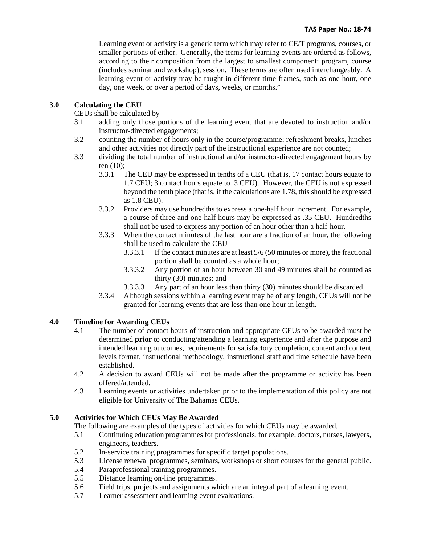Learning event or activity is a generic term which may refer to CE/T programs, courses, or smaller portions of either. Generally, the terms for learning events are ordered as follows, according to their composition from the largest to smallest component: program, course (includes seminar and workshop), session. These terms are often used interchangeably. A learning event or activity may be taught in different time frames, such as one hour, one day, one week, or over a period of days, weeks, or months."

## **3.0 Calculating the CEU**

CEUs shall be calculated by

- 3.1 adding only those portions of the learning event that are devoted to instruction and/or instructor-directed engagements;
- 3.2 counting the number of hours only in the course/programme; refreshment breaks, lunches and other activities not directly part of the instructional experience are not counted;
- 3.3 dividing the total number of instructional and/or instructor-directed engagement hours by ten (10);
	- 3.3.1 The CEU may be expressed in tenths of a CEU (that is, 17 contact hours equate to 1.7 CEU; 3 contact hours equate to .3 CEU). However, the CEU is not expressed beyond the tenth place (that is, if the calculations are 1.78, this should be expressed as 1.8 CEU).
	- 3.3.2 Providers may use hundredths to express a one-half hour increment. For example, a course of three and one-half hours may be expressed as .35 CEU. Hundredths shall not be used to express any portion of an hour other than a half-hour.
	- 3.3.3 When the contact minutes of the last hour are a fraction of an hour, the following shall be used to calculate the CEU
		- 3.3.3.1 If the contact minutes are at least 5/6 (50 minutes or more), the fractional portion shall be counted as a whole hour;
		- 3.3.3.2 Any portion of an hour between 30 and 49 minutes shall be counted as thirty (30) minutes; and
		- 3.3.3.3 Any part of an hour less than thirty (30) minutes should be discarded.
	- 3.3.4 Although sessions within a learning event may be of any length, CEUs will not be granted for learning events that are less than one hour in length.

# **4.0 Timeline for Awarding CEUs**

- 4.1 The number of contact hours of instruction and appropriate CEUs to be awarded must be determined **prior** to conducting/attending a learning experience and after the purpose and intended learning outcomes, requirements for satisfactory completion, content and content levels format, instructional methodology, instructional staff and time schedule have been established.
- 4.2 A decision to award CEUs will not be made after the programme or activity has been offered/attended.
- 4.3 Learning events or activities undertaken prior to the implementation of this policy are not eligible for University of The Bahamas CEUs.

#### **5.0 Activities for Which CEUs May Be Awarded**

The following are examples of the types of activities for which CEUs may be awarded.

- 5.1 Continuing education programmes for professionals, for example, doctors, nurses, lawyers, engineers, teachers.
- 5.2 In-service training programmes for specific target populations.
- 5.3 License renewal programmes, seminars, workshops or short courses for the general public.
- 5.4 Paraprofessional training programmes.
- 5.5 Distance learning on-line programmes.
- 5.6 Field trips, projects and assignments which are an integral part of a learning event.
- 5.7 Learner assessment and learning event evaluations.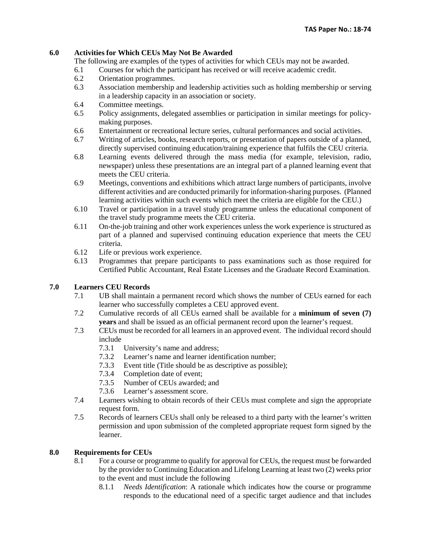### **6.0 Activities for Which CEUs May Not Be Awarded**

The following are examples of the types of activities for which CEUs may not be awarded.

- 6.1 Courses for which the participant has received or will receive academic credit.
- 6.2 Orientation programmes.
- 6.3 Association membership and leadership activities such as holding membership or serving in a leadership capacity in an association or society.
- 6.4 Committee meetings.
- 6.5 Policy assignments, delegated assemblies or participation in similar meetings for policymaking purposes.
- 6.6 Entertainment or recreational lecture series, cultural performances and social activities.
- 6.7 Writing of articles, books, research reports, or presentation of papers outside of a planned, directly supervised continuing education/training experience that fulfils the CEU criteria.
- 6.8 Learning events delivered through the mass media (for example, television, radio, newspaper) unless these presentations are an integral part of a planned learning event that meets the CEU criteria.
- 6.9 Meetings, conventions and exhibitions which attract large numbers of participants, involve different activities and are conducted primarily for information-sharing purposes. (Planned learning activities within such events which meet the criteria are eligible for the CEU.)
- 6.10 Travel or participation in a travel study programme unless the educational component of the travel study programme meets the CEU criteria.
- 6.11 On-the-job training and other work experiences unless the work experience is structured as part of a planned and supervised continuing education experience that meets the CEU criteria.
- 6.12 Life or previous work experience.
- 6.13 Programmes that prepare participants to pass examinations such as those required for Certified Public Accountant, Real Estate Licenses and the Graduate Record Examination.

# **7.0 Learners CEU Records**

- 7.1 UB shall maintain a permanent record which shows the number of CEUs earned for each learner who successfully completes a CEU approved event.
- 7.2 Cumulative records of all CEUs earned shall be available for a **minimum of seven (7) years** and shall be issued as an official permanent record upon the learner's request.
- 7.3 CEUs must be recorded for all learners in an approved event. The individual record should include
	- 7.3.1 University's name and address;
	- 7.3.2 Learner's name and learner identification number;
	- 7.3.3 Event title (Title should be as descriptive as possible);
	- 7.3.4 Completion date of event;
	- 7.3.5 Number of CEUs awarded; and
	- 7.3.6 Learner's assessment score.
- 7.4 Learners wishing to obtain records of their CEUs must complete and sign the appropriate request form.
- 7.5 Records of learners CEUs shall only be released to a third party with the learner's written permission and upon submission of the completed appropriate request form signed by the learner.

#### **8.0 Requirements for CEUs**

- 8.1 For a course or programme to qualify for approval for CEUs, the request must be forwarded by the provider to Continuing Education and Lifelong Learning at least two (2) weeks prior to the event and must include the following
	- 8.1.1 *Needs Identification*: A rationale which indicates how the course or programme responds to the educational need of a specific target audience and that includes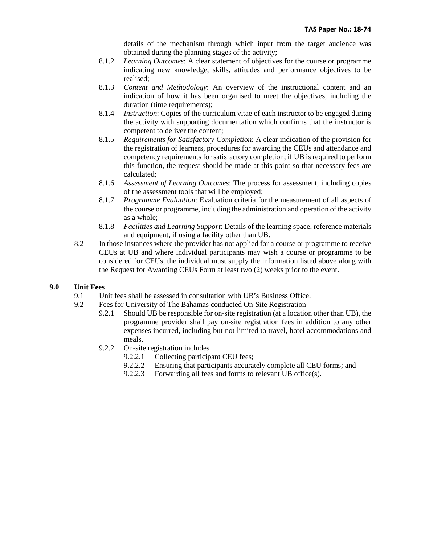details of the mechanism through which input from the target audience was obtained during the planning stages of the activity;

- 8.1.2 *Learning Outcomes*: A clear statement of objectives for the course or programme indicating new knowledge, skills, attitudes and performance objectives to be realised;
- 8.1.3 *Content and Methodology*: An overview of the instructional content and an indication of how it has been organised to meet the objectives, including the duration (time requirements);
- 8.1.4 *Instruction*: Copies of the curriculum vitae of each instructor to be engaged during the activity with supporting documentation which confirms that the instructor is competent to deliver the content;
- 8.1.5 *Requirements for Satisfactory Completion*: A clear indication of the provision for the registration of learners, procedures for awarding the CEUs and attendance and competency requirements for satisfactory completion; if UB is required to perform this function, the request should be made at this point so that necessary fees are calculated;
- 8.1.6 *Assessment of Learning Outcomes*: The process for assessment, including copies of the assessment tools that will be employed;
- 8.1.7 *Programme Evaluation*: Evaluation criteria for the measurement of all aspects of the course or programme, including the administration and operation of the activity as a whole;
- 8.1.8 *Facilities and Learning Support*: Details of the learning space, reference materials and equipment, if using a facility other than UB.
- 8.2 In those instances where the provider has not applied for a course or programme to receive CEUs at UB and where individual participants may wish a course or programme to be considered for CEUs, the individual must supply the information listed above along with the Request for Awarding CEUs Form at least two (2) weeks prior to the event.

#### **9.0 Unit Fees**

- 9.1 Unit fees shall be assessed in consultation with UB's Business Office.
- 9.2 Fees for University of The Bahamas conducted On-Site Registration
	- 9.2.1 Should UB be responsible for on-site registration (at a location other than UB), the programme provider shall pay on-site registration fees in addition to any other expenses incurred, including but not limited to travel, hotel accommodations and meals.
	- 9.2.2 On-site registration includes
		- 9.2.2.1 Collecting participant CEU fees;
		- 9.2.2.2 Ensuring that participants accurately complete all CEU forms; and
		- 9.2.2.3 Forwarding all fees and forms to relevant UB office(s).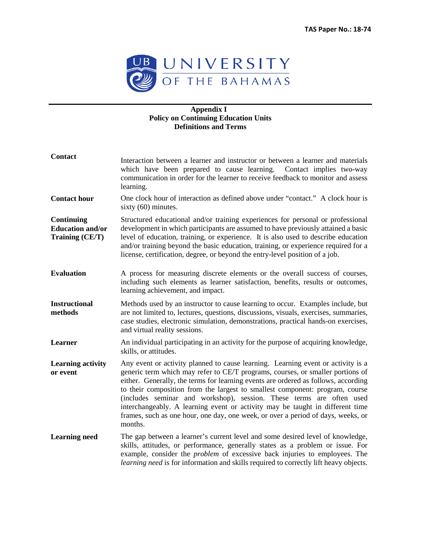

### **Appendix I Policy on Continuing Education Units Definitions and Terms**

| <b>Contact</b>                                           | Interaction between a learner and instructor or between a learner and materials<br>which have been prepared to cause learning.<br>Contact implies two-way<br>communication in order for the learner to receive feedback to monitor and assess<br>learning.                                                                                                                                                                                                                                                                                                                                       |
|----------------------------------------------------------|--------------------------------------------------------------------------------------------------------------------------------------------------------------------------------------------------------------------------------------------------------------------------------------------------------------------------------------------------------------------------------------------------------------------------------------------------------------------------------------------------------------------------------------------------------------------------------------------------|
| <b>Contact hour</b>                                      | One clock hour of interaction as defined above under "contact." A clock hour is<br>sixty $(60)$ minutes.                                                                                                                                                                                                                                                                                                                                                                                                                                                                                         |
| Continuing<br><b>Education and/or</b><br>Training (CE/T) | Structured educational and/or training experiences for personal or professional<br>development in which participants are assumed to have previously attained a basic<br>level of education, training, or experience. It is also used to describe education<br>and/or training beyond the basic education, training, or experience required for a<br>license, certification, degree, or beyond the entry-level position of a job.                                                                                                                                                                 |
| <b>Evaluation</b>                                        | A process for measuring discrete elements or the overall success of courses,<br>including such elements as learner satisfaction, benefits, results or outcomes,<br>learning achievement, and impact.                                                                                                                                                                                                                                                                                                                                                                                             |
| <b>Instructional</b><br>methods                          | Methods used by an instructor to cause learning to occur. Examples include, but<br>are not limited to, lectures, questions, discussions, visuals, exercises, summaries,<br>case studies, electronic simulation, demonstrations, practical hands-on exercises,<br>and virtual reality sessions.                                                                                                                                                                                                                                                                                                   |
| Learner                                                  | An individual participating in an activity for the purpose of acquiring knowledge,<br>skills, or attitudes.                                                                                                                                                                                                                                                                                                                                                                                                                                                                                      |
| <b>Learning activity</b><br>or event                     | Any event or activity planned to cause learning. Learning event or activity is a<br>generic term which may refer to CE/T programs, courses, or smaller portions of<br>either. Generally, the terms for learning events are ordered as follows, according<br>to their composition from the largest to smallest component: program, course<br>(includes seminar and workshop), session. These terms are often used<br>interchangeably. A learning event or activity may be taught in different time<br>frames, such as one hour, one day, one week, or over a period of days, weeks, or<br>months. |
| <b>Learning need</b>                                     | The gap between a learner's current level and some desired level of knowledge,<br>skills, attitudes, or performance, generally states as a problem or issue. For<br>example, consider the <i>problem</i> of excessive back injuries to employees. The<br><i>learning need</i> is for information and skills required to correctly lift heavy objects.                                                                                                                                                                                                                                            |